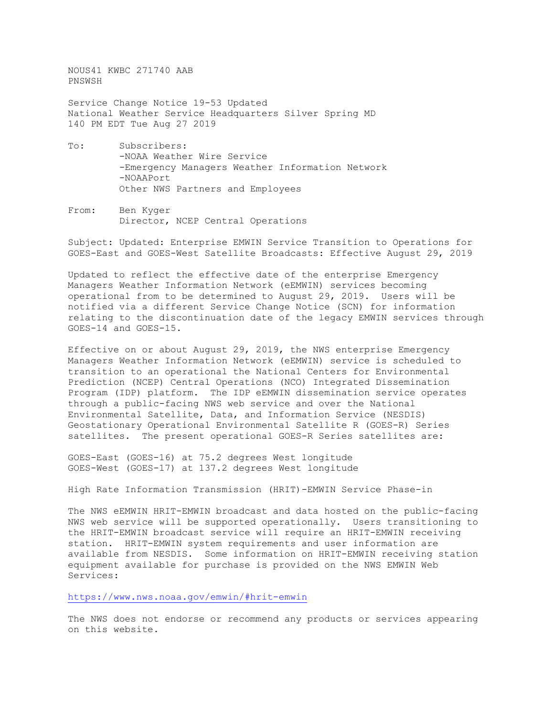NOUS41 KWBC 271740 AAB PNSWSH

Service Change Notice 19-53 Updated National Weather Service Headquarters Silver Spring MD 140 PM EDT Tue Aug 27 2019

- To: Subscribers: -NOAA Weather Wire Service -Emergency Managers Weather Information Network -NOAAPort Other NWS Partners and Employees
- From: Ben Kyger Director, NCEP Central Operations

Subject: Updated: Enterprise EMWIN Service Transition to Operations for GOES-East and GOES-West Satellite Broadcasts: Effective August 29, 2019

Updated to reflect the effective date of the enterprise Emergency Managers Weather Information Network (eEMWIN) services becoming operational from to be determined to August 29, 2019. Users will be notified via a different Service Change Notice (SCN) for information relating to the discontinuation date of the legacy EMWIN services through GOES-14 and GOES-15.

Effective on or about August 29, 2019, the NWS enterprise Emergency Managers Weather Information Network (eEMWIN) service is scheduled to transition to an operational the National Centers for Environmental Prediction (NCEP) Central Operations (NCO) Integrated Dissemination Program (IDP) platform. The IDP eEMWIN dissemination service operates through a public-facing NWS web service and over the National Environmental Satellite, Data, and Information Service (NESDIS) Geostationary Operational Environmental Satellite R (GOES-R) Series satellites. The present operational GOES-R Series satellites are:

GOES-East (GOES-16) at 75.2 degrees West longitude GOES-West (GOES-17) at 137.2 degrees West longitude

High Rate Information Transmission (HRIT)-EMWIN Service Phase-in

The NWS eEMWIN HRIT-EMWIN broadcast and data hosted on the public-facing NWS web service will be supported operationally. Users transitioning to the HRIT-EMWIN broadcast service will require an HRIT-EMWIN receiving station. HRIT-EMWIN system requirements and user information are available from NESDIS. Some information on HRIT-EMWIN receiving station equipment available for purchase is provided on the NWS EMWIN Web Services:

<https://www.nws.noaa.gov/emwin/#hrit-emwin>

The NWS does not endorse or recommend any products or services appearing on this website.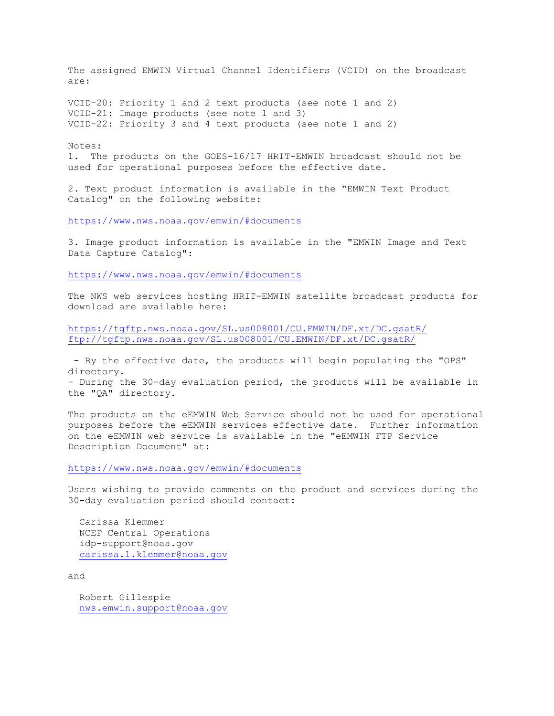The assigned EMWIN Virtual Channel Identifiers (VCID) on the broadcast are:

VCID-20: Priority 1 and 2 text products (see note 1 and 2) VCID-21: Image products (see note 1 and 3) VCID-22: Priority 3 and 4 text products (see note 1 and 2)

Notes:

1. The products on the GOES-16/17 HRIT-EMWIN broadcast should not be used for operational purposes before the effective date.

2. Text product information is available in the "EMWIN Text Product Catalog" on the following website:

<https://www.nws.noaa.gov/emwin/#documents>

3. Image product information is available in the "EMWIN Image and Text Data Capture Catalog":

<https://www.nws.noaa.gov/emwin/#documents>

The NWS web services hosting HRIT-EMWIN satellite broadcast products for download are available here:

<https://tgftp.nws.noaa.gov/SL.us008001/CU.EMWIN/DF.xt/DC.gsatR/> <ftp://tgftp.nws.noaa.gov/SL.us008001/CU.EMWIN/DF.xt/DC.gsatR/>

- By the effective date, the products will begin populating the "OPS" directory.

- During the 30-day evaluation period, the products will be available in the "QA" directory.

The products on the eEMWIN Web Service should not be used for operational purposes before the eEMWIN services effective date. Further information on the eEMWIN web service is available in the "eEMWIN FTP Service Description Document" at:

<https://www.nws.noaa.gov/emwin/#documents>

Users wishing to provide comments on the product and services during the 30-day evaluation period should contact:

 Carissa Klemmer NCEP Central Operations idp-support@noaa.gov [carissa.l.klemmer@noaa.gov](mailto:carissa.l.klemmer@noaa.gov)

and

 Robert Gillespie [nws.emwin.support@noaa.gov](mailto:nws.emwin.support@noaa.gov)